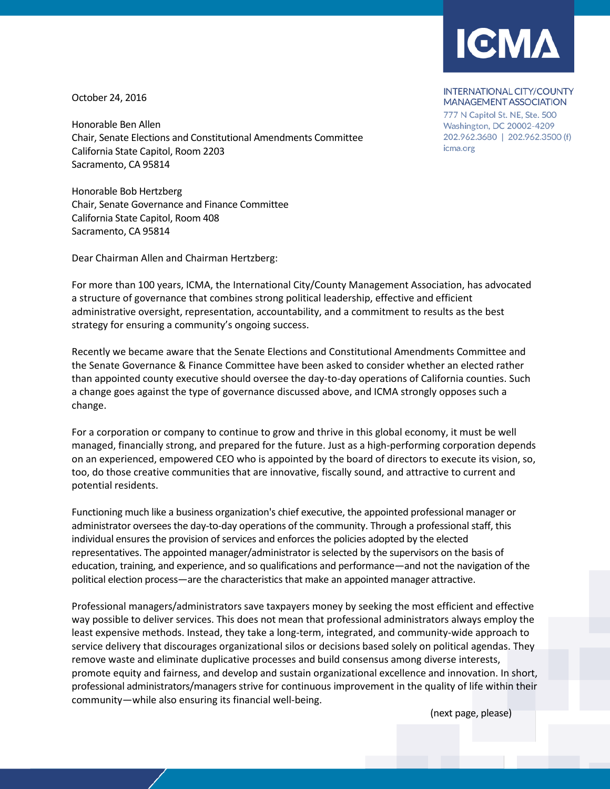

## October 24, 2016

Honorable Ben Allen Chair, Senate Elections and Constitutional Amendments Committee California State Capitol, Room 2203 Sacramento, CA 95814

Honorable Bob Hertzberg Chair, Senate Governance and Finance Committee California State Capitol, Room 408 Sacramento, CA 95814

Dear Chairman Allen and Chairman Hertzberg:

For more than 100 years, ICMA, the International City/County Management Association, has advocated a structure of governance that combines strong political leadership, effective and efficient administrative oversight, representation, accountability, and a commitment to results as the best strategy for ensuring a community's ongoing success.

Recently we became aware that the Senate Elections and Constitutional Amendments Committee and the Senate Governance & Finance Committee have been asked to consider whether an elected rather than appointed county executive should oversee the day-to-day operations of California counties. Such a change goes against the type of governance discussed above, and ICMA strongly opposes such a change.

For a corporation or company to continue to grow and thrive in this global economy, it must be well managed, financially strong, and prepared for the future. Just as a high-performing corporation depends on an experienced, empowered CEO who is appointed by the board of directors to execute its vision, so, too, do those creative communities that are innovative, fiscally sound, and attractive to current and potential residents.

Functioning much like a business organization's chief executive, the appointed professional manager or administrator oversees the day-to-day operations of the community. Through a professional staff, this individual ensures the provision of services and enforces the policies adopted by the elected representatives. The appointed manager/administrator is selected by the supervisors on the basis of education, training, and experience, and so qualifications and performance—and not the navigation of the political election process—are the characteristics that make an appointed manager attractive.

Professional managers/administrators save taxpayers money by seeking the most efficient and effective way possible to deliver services. This does not mean that professional administrators always employ the least expensive methods. Instead, they take a long-term, integrated, and community-wide approach to service delivery that discourages organizational silos or decisions based solely on political agendas. They remove waste and eliminate duplicative processes and build consensus among diverse interests, promote equity and fairness, and develop and sustain organizational excellence and innovation. In short, professional administrators/managers strive for continuous improvement in the quality of life within their community—while also ensuring its financial well-being.

(next page, please)

## **INTERNATIONAL CITY/COUNTY MANAGEMENT ASSOCIATION**

777 N Capitol St. NE, Ste. 500 Washington, DC 20002-4209 202.962.3680 | 202.962.3500 (f) icma.org